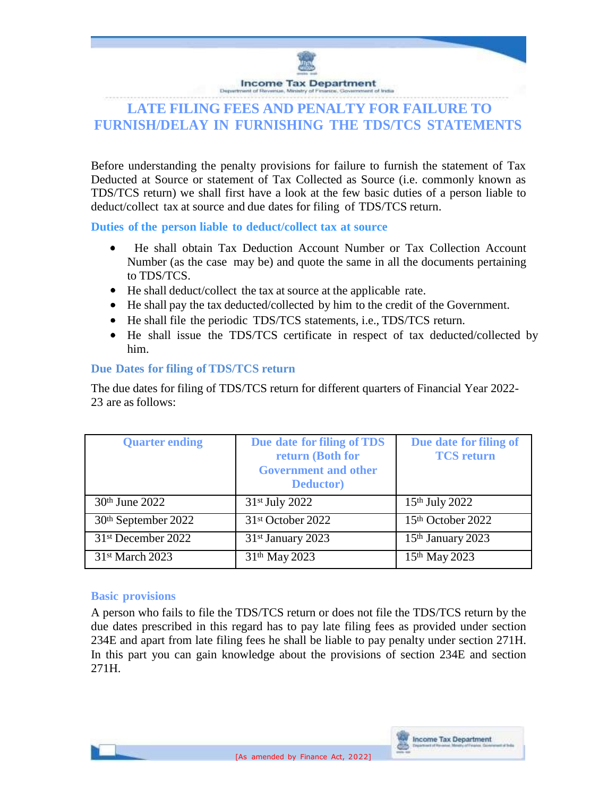

# **LATE FILING FEES AND PENALTY FOR FAILURE TO FURNISH/DELAY IN FURNISHING THE TDS/TCS STATEMENTS**

Before understanding the penalty provisions for failure to furnish the statement of Tax Deducted at Source or statement of Tax Collected as Source (i.e. commonly known as TDS/TCS return) we shall first have a look at the few basic duties of a person liable to deduct/collect tax at source and due dates for filing of TDS/TCS return.

**Duties of the person liable to deduct/collect tax at source**

- He shall obtain Tax Deduction Account Number or Tax Collection Account Number (as the case may be) and quote the same in all the documents pertaining to TDS/TCS.
- He shall deduct/collect the tax at source at the applicable rate.
- He shall pay the tax deducted/collected by him to the credit of the Government.
- He shall file the periodic TDS/TCS statements, i.e., TDS/TCS return.
- He shall issue the TDS/TCS certificate in respect of tax deducted/collected by him.

## **Due Dates for filing of TDS/TCS return**

The due dates for filing of TDS/TCS return for different quarters of Financial Year 2022- 23 are as follows:

| <b>Quarter ending</b>          | Due date for filing of TDS<br>return (Both for<br><b>Government and other</b><br><b>Deductor</b> ) | Due date for filing of<br><b>TCS</b> return |
|--------------------------------|----------------------------------------------------------------------------------------------------|---------------------------------------------|
| 30th June 2022                 | 31st July 2022                                                                                     | 15th July 2022                              |
| 30th September 2022            | 31 <sup>st</sup> October 2022                                                                      | 15th October 2022                           |
| 31 <sup>st</sup> December 2022 | 31st January 2023                                                                                  | 15 <sup>th</sup> January 2023               |
| 31 <sup>st</sup> March 2023    | 31 <sup>th</sup> May 2023                                                                          | 15th May 2023                               |

## **Basic provisions**

A person who fails to file the TDS/TCS return or does not file the TDS/TCS return by the due dates prescribed in this regard has to pay late filing fees as provided under section 234E and apart from late filing fees he shall be liable to pay penalty under section 271H. In this part you can gain knowledge about the provisions of section 234E and section 271H.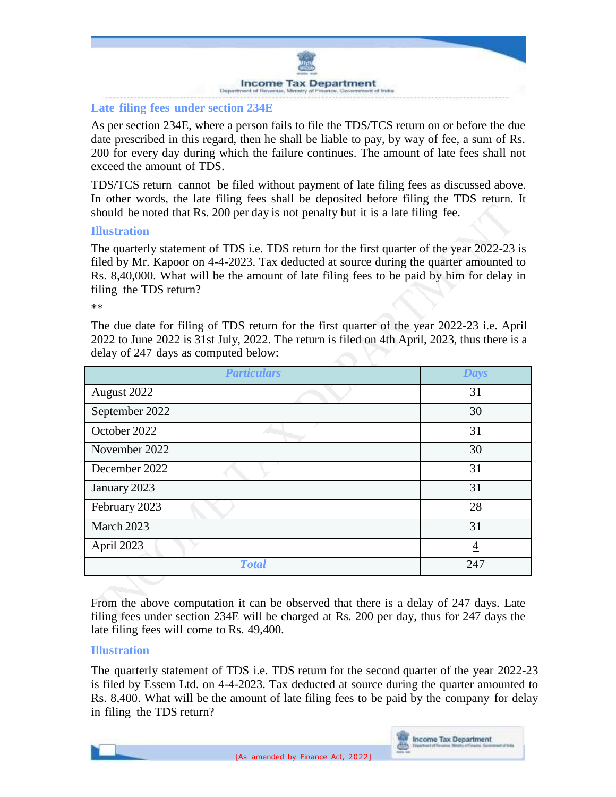

#### **Late filing fees under section 234E**

As per section 234E, where a person fails to file the TDS/TCS return on or before the due date prescribed in this regard, then he shall be liable to pay, by way of fee, a sum of Rs. 200 for every day during which the failure continues. The amount of late fees shall not exceed the amount of TDS.

TDS/TCS return cannot be filed without payment of late filing fees as discussed above. In other words, the late filing fees shall be deposited before filing the TDS return. It should be noted that Rs. 200 per day is not penalty but it is a late filing fee.

#### **Illustration**

The quarterly statement of TDS i.e. TDS return for the first quarter of the year 2022-23 is filed by Mr. Kapoor on 4-4-2023. Tax deducted at source during the quarter amounted to Rs. 8,40,000. What will be the amount of late filing fees to be paid by him for delay in filing the TDS return?

\*\*

The due date for filing of TDS return for the first quarter of the year 2022-23 i.e. April 2022 to June 2022 is 31st July, 2022. The return is filed on 4th April, 2023, thus there is a delay of 247 days as computed below:

| <b>Particulars</b> | <b>Days</b> |
|--------------------|-------------|
| August 2022        | 31          |
| September 2022     | 30          |
| October 2022       | 31          |
| November 2022      | 30          |
| December 2022      | 31          |
| January 2023       | 31          |
| February 2023      | 28          |
| March 2023         | 31          |
| April 2023         | 4           |
| <b>Total</b>       | 247         |

From the above computation it can be observed that there is a delay of 247 days. Late filing fees under section 234E will be charged at Rs. 200 per day, thus for 247 days the late filing fees will come to Rs. 49,400.

#### **Illustration**

The quarterly statement of TDS i.e. TDS return for the second quarter of the year 2022-23 is filed by Essem Ltd. on 4-4-2023. Tax deducted at source during the quarter amounted to Rs. 8,400. What will be the amount of late filing fees to be paid by the company for delay in filing the TDS return?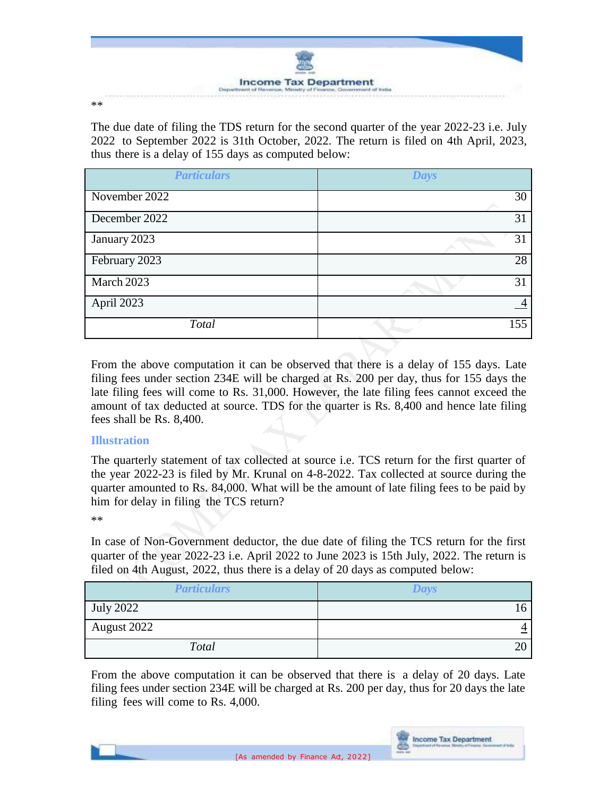

\*\*

The due date of filing the TDS return for the second quarter of the year 2022-23 i.e. July 2022 to September 2022 is 31th October, 2022. The return is filed on 4th April, 2023, thus there is a delay of 155 days as computed below:

| <b>Particulars</b> | <b>Days</b> |
|--------------------|-------------|
| November 2022      | 30          |
| December 2022      | 31          |
| January 2023       | 31          |
| February 2023      | 28          |
| March 2023         | 31          |
| April 2023         |             |
| Total              | 155         |

From the above computation it can be observed that there is a delay of 155 days. Late filing fees under section 234E will be charged at Rs. 200 per day, thus for 155 days the late filing fees will come to Rs. 31,000. However, the late filing fees cannot exceed the amount of tax deducted at source. TDS for the quarter is Rs. 8,400 and hence late filing fees shall be Rs. 8,400.

## **Illustration**

The quarterly statement of tax collected at source i.e. TCS return for the first quarter of the year 2022-23 is filed by Mr. Krunal on 4-8-2022. Tax collected at source during the quarter amounted to Rs. 84,000. What will be the amount of late filing fees to be paid by him for delay in filing the TCS return?

\*\*

In case of Non-Government deductor, the due date of filing the TCS return for the first quarter of the year 2022-23 i.e. April 2022 to June 2023 is 15th July, 2022. The return is filed on 4th August, 2022, thus there is a delay of 20 days as computed below:

| <b>Particulars</b> | <b>Days</b> |
|--------------------|-------------|
| <b>July 2022</b>   |             |
| August 2022        |             |
| Total              | ∠∖          |

From the above computation it can be observed that there is a delay of 20 days. Late filing fees under section 234E will be charged at Rs. 200 per day, thus for 20 days the late filing fees will come to Rs. 4,000.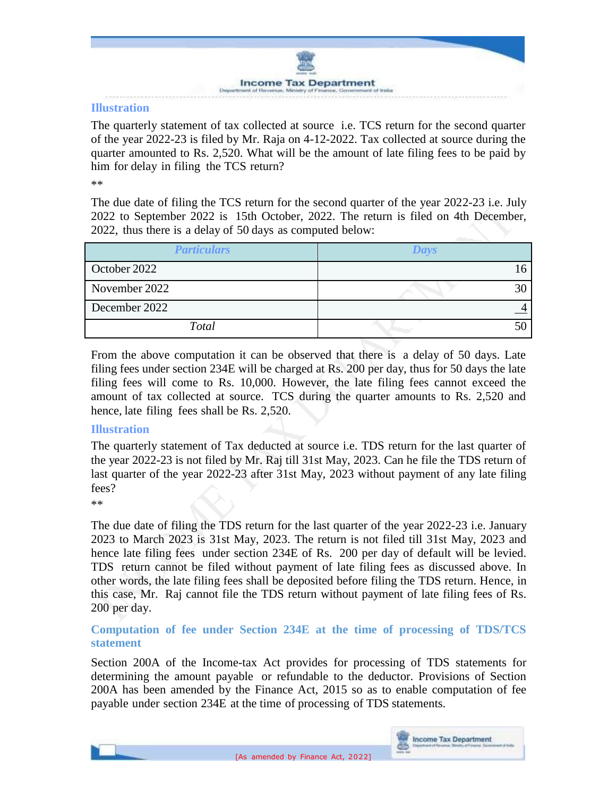

#### **Illustration**

The quarterly statement of tax collected at source i.e. TCS return for the second quarter of the year 2022-23 is filed by Mr. Raja on 4-12-2022. Tax collected at source during the quarter amounted to Rs. 2,520. What will be the amount of late filing fees to be paid by him for delay in filing the TCS return?

\*\*

The due date of filing the TCS return for the second quarter of the year 2022-23 i.e. July 2022 to September 2022 is 15th October, 2022. The return is filed on 4th December, 2022, thus there is a delay of 50 days as computed below:

| <b>Particulars</b> | Days |
|--------------------|------|
| October 2022       |      |
| November 2022      |      |
| December 2022      |      |
| Total              |      |

From the above computation it can be observed that there is a delay of 50 days. Late filing fees under section 234E will be charged at Rs. 200 per day, thus for 50 days the late filing fees will come to Rs. 10,000. However, the late filing fees cannot exceed the amount of tax collected at source. TCS during the quarter amounts to Rs. 2,520 and hence, late filing fees shall be Rs. 2,520.

#### **Illustration**

The quarterly statement of Tax deducted at source i.e. TDS return for the last quarter of the year 2022-23 is not filed by Mr. Raj till 31st May, 2023. Can he file the TDS return of last quarter of the year 2022-23 after 31st May, 2023 without payment of any late filing fees?

\*\*

The due date of filing the TDS return for the last quarter of the year 2022-23 i.e. January 2023 to March 2023 is 31st May, 2023. The return is not filed till 31st May, 2023 and hence late filing fees under section 234E of Rs. 200 per day of default will be levied. TDS return cannot be filed without payment of late filing fees as discussed above. In other words, the late filing fees shall be deposited before filing the TDS return. Hence, in this case, Mr. Raj cannot file the TDS return without payment of late filing fees of Rs. 200 per day.

**Computation of fee under Section 234E at the time of processing of TDS/TCS statement**

Section 200A of the Income-tax Act provides for processing of TDS statements for determining the amount payable or refundable to the deductor. Provisions of Section 200A has been amended by the Finance Act, 2015 so as to enable computation of fee payable under section 234E at the time of processing of TDS statements.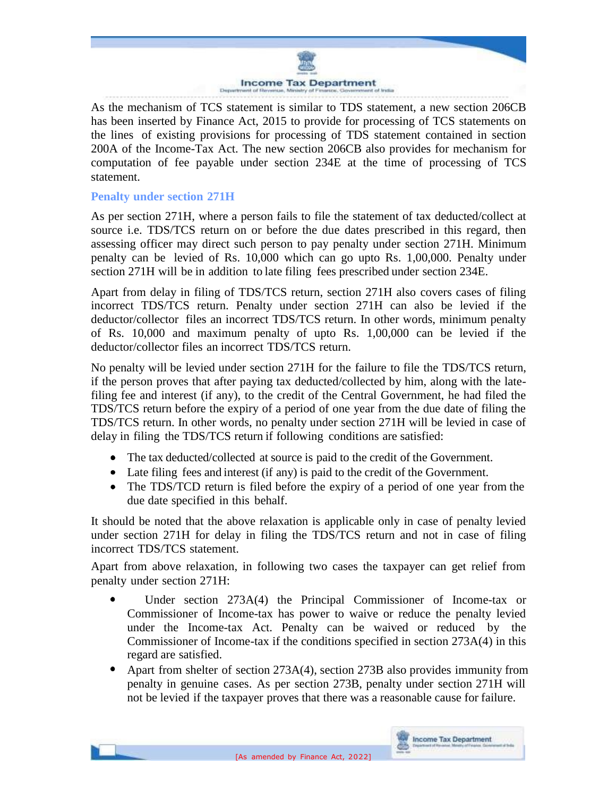

As the mechanism of TCS statement is similar to TDS statement, a new section 206CB has been inserted by Finance Act, 2015 to provide for processing of TCS statements on the lines of existing provisions for processing of TDS statement contained in section 200A of the Income-Tax Act. The new section 206CB also provides for mechanism for computation of fee payable under section 234E at the time of processing of TCS statement.

#### **Penalty under section 271H**

As per section 271H, where a person fails to file the statement of tax deducted/collect at source i.e. TDS/TCS return on or before the due dates prescribed in this regard, then assessing officer may direct such person to pay penalty under section 271H. Minimum penalty can be levied of Rs. 10,000 which can go upto Rs. 1,00,000. Penalty under section 271H will be in addition to late filing fees prescribed under section 234E.

Apart from delay in filing of TDS/TCS return, section 271H also covers cases of filing incorrect TDS/TCS return. Penalty under section 271H can also be levied if the deductor/collector files an incorrect TDS/TCS return. In other words, minimum penalty of Rs. 10,000 and maximum penalty of upto Rs. 1,00,000 can be levied if the deductor/collector files an incorrect TDS/TCS return.

No penalty will be levied under section 271H for the failure to file the TDS/TCS return, if the person proves that after paying tax deducted/collected by him, along with the latefiling fee and interest (if any), to the credit of the Central Government, he had filed the TDS/TCS return before the expiry of a period of one year from the due date of filing the TDS/TCS return. In other words, no penalty under section 271H will be levied in case of delay in filing the TDS/TCS return if following conditions are satisfied:

- The tax deducted/collected at source is paid to the credit of the Government.
- Late filing fees and interest (if any) is paid to the credit of the Government.
- The TDS/TCD return is filed before the expiry of a period of one year from the due date specified in this behalf.

It should be noted that the above relaxation is applicable only in case of penalty levied under section 271H for delay in filing the TDS/TCS return and not in case of filing incorrect TDS/TCS statement.

Apart from above relaxation, in following two cases the taxpayer can get relief from penalty under section 271H:

- Under section 273A(4) the Principal Commissioner of Income-tax or  $\bullet$ Commissioner of Income-tax has power to waive or reduce the penalty levied under the Income-tax Act. Penalty can be waived or reduced by the Commissioner of Income-tax if the conditions specified in section 273A(4) in this regard are satisfied.
- Apart from shelter of section 273A(4), section 273B also provides immunity from penalty in genuine cases. As per section 273B, penalty under section 271H will not be levied if the taxpayer proves that there was a reasonable cause for failure.

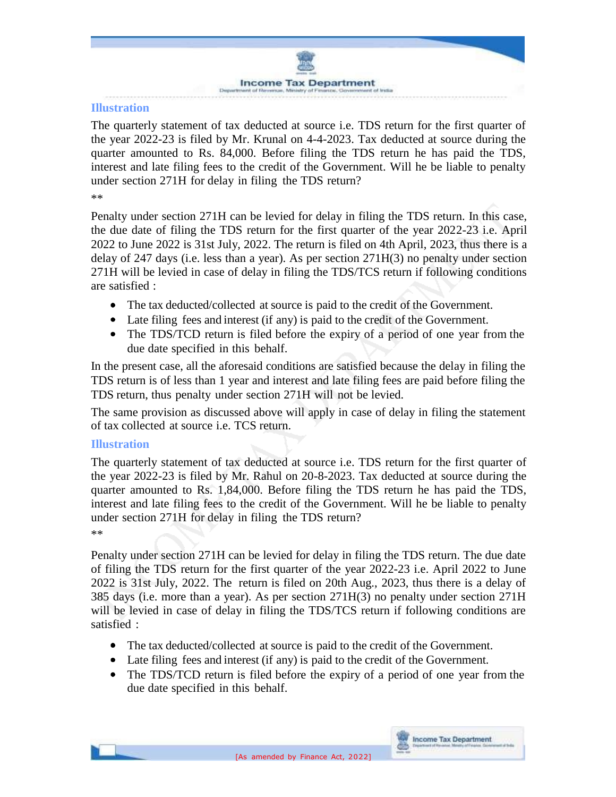

#### **Illustration**

The quarterly statement of tax deducted at source i.e. TDS return for the first quarter of the year 2022-23 is filed by Mr. Krunal on 4-4-2023. Tax deducted at source during the quarter amounted to Rs. 84,000. Before filing the TDS return he has paid the TDS, interest and late filing fees to the credit of the Government. Will he be liable to penalty under section 271H for delay in filing the TDS return?

\*\*

Penalty under section 271H can be levied for delay in filing the TDS return. In this case, the due date of filing the TDS return for the first quarter of the year 2022-23 i.e. April 2022 to June 2022 is 31st July, 2022. The return is filed on 4th April, 2023, thus there is a delay of 247 days (i.e. less than a year). As per section 271H(3) no penalty under section 271H will be levied in case of delay in filing the TDS/TCS return if following conditions are satisfied :

- The tax deducted/collected at source is paid to the credit of the Government.
- Late filing fees and interest (if any) is paid to the credit of the Government.
- The TDS/TCD return is filed before the expiry of a period of one year from the due date specified in this behalf.

In the present case, all the aforesaid conditions are satisfied because the delay in filing the TDS return is of less than 1 year and interest and late filing fees are paid before filing the TDS return, thus penalty under section 271H will not be levied.

The same provision as discussed above will apply in case of delay in filing the statement of tax collected at source i.e. TCS return.

#### **Illustration**

The quarterly statement of tax deducted at source i.e. TDS return for the first quarter of the year 2022-23 is filed by Mr. Rahul on 20-8-2023. Tax deducted at source during the quarter amounted to Rs. 1,84,000. Before filing the TDS return he has paid the TDS, interest and late filing fees to the credit of the Government. Will he be liable to penalty under section 271H for delay in filing the TDS return? \*\*

Penalty under section 271H can be levied for delay in filing the TDS return. The due date of filing the TDS return for the first quarter of the year 2022-23 i.e. April 2022 to June 2022 is 31st July, 2022. The return is filed on 20th Aug., 2023, thus there is a delay of 385 days (i.e. more than a year). As per section 271H(3) no penalty under section 271H will be levied in case of delay in filing the TDS/TCS return if following conditions are satisfied :

- The tax deducted/collected at source is paid to the credit of the Government.
- Late filing fees and interest (if any) is paid to the credit of the Government.
- The TDS/TCD return is filed before the expiry of a period of one year from the due date specified in this behalf.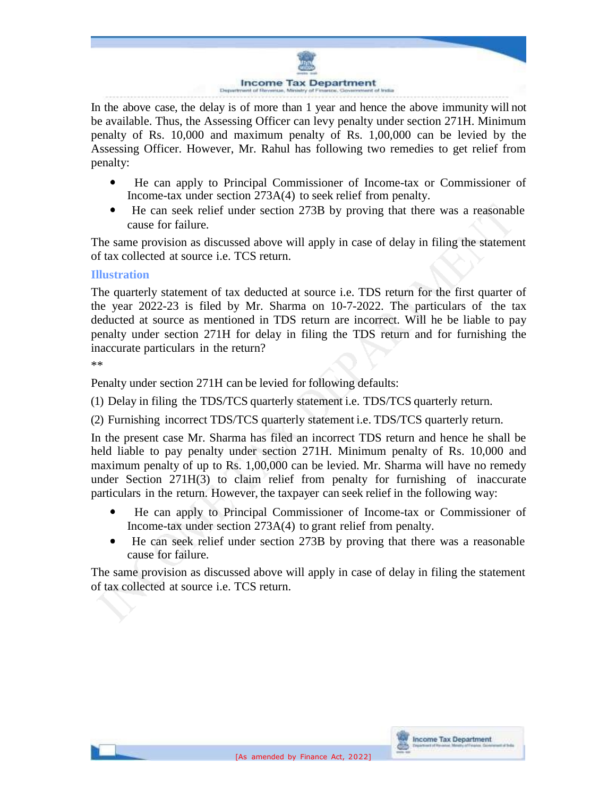

In the above case, the delay is of more than 1 year and hence the above immunity will not be available. Thus, the Assessing Officer can levy penalty under section 271H. Minimum penalty of Rs. 10,000 and maximum penalty of Rs. 1,00,000 can be levied by the Assessing Officer. However, Mr. Rahul has following two remedies to get relief from penalty:

- $\bullet$  He can apply to Principal Commissioner of Income-tax or Commissioner of Income-tax under section 273A(4) to seek relief from penalty.
- He can seek relief under section 273B by proving that there was a reasonable cause for failure.

The same provision as discussed above will apply in case of delay in filing the statement of tax collected at source i.e. TCS return.

## **Illustration**

The quarterly statement of tax deducted at source i.e. TDS return for the first quarter of the year 2022-23 is filed by Mr. Sharma on 10-7-2022. The particulars of the tax deducted at source as mentioned in TDS return are incorrect. Will he be liable to pay penalty under section 271H for delay in filing the TDS return and for furnishing the inaccurate particulars in the return?

\*\*

Penalty under section 271H can be levied for following defaults:

(1) Delay in filing the TDS/TCS quarterly statement i.e. TDS/TCS quarterly return.

(2) Furnishing incorrect TDS/TCS quarterly statement i.e. TDS/TCS quarterly return.

In the present case Mr. Sharma has filed an incorrect TDS return and hence he shall be held liable to pay penalty under section 271H. Minimum penalty of Rs. 10,000 and maximum penalty of up to Rs. 1,00,000 can be levied. Mr. Sharma will have no remedy under Section 271H(3) to claim relief from penalty for furnishing of inaccurate particulars in the return. However, the taxpayer can seek relief in the following way:

- He can apply to Principal Commissioner of Income-tax or Commissioner of Income-tax under section 273A(4) to grant relief from penalty.
- He can seek relief under section 273B by proving that there was a reasonable cause for failure.

The same provision as discussed above will apply in case of delay in filing the statement of tax collected at source i.e. TCS return.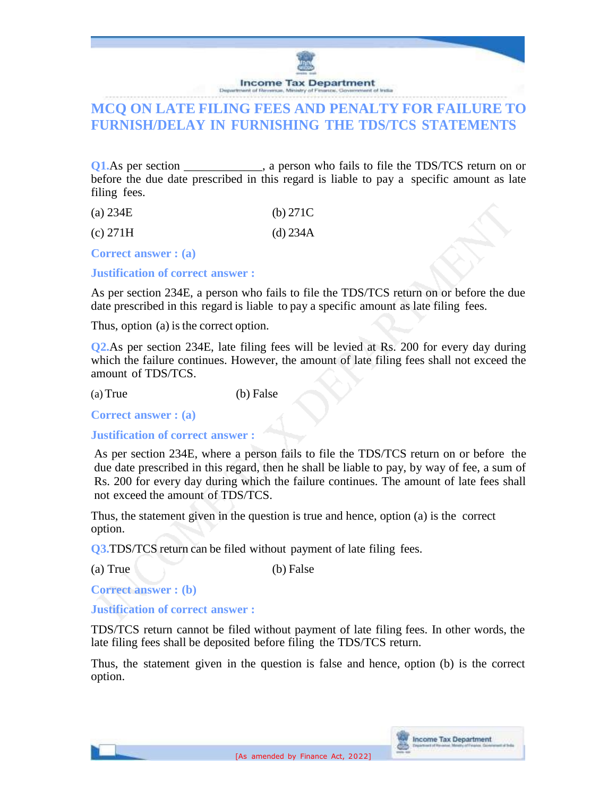

## **MCQ ON LATE FILING FEES AND PENALTY FOR FAILURE TO FURNISH/DELAY IN FURNISHING THE TDS/TCS STATEMENTS**

**Q1.**As per section \_\_\_\_\_\_\_\_\_, a person who fails to file the TDS/TCS return on or before the due date prescribed in this regard is liable to pay a specific amount as late filing fees.

| (a) $234E$ | (b) $271C$ |
|------------|------------|
|------------|------------|

 $\chi$  (c) 271H (d) 234A

**Correct answer : (a)**

**Justification of correct answer :**

As per section 234E, a person who fails to file the TDS/TCS return on or before the due date prescribed in this regard is liable to pay a specific amount as late filing fees.

Thus, option (a) is the correct option.

**Q2.**As per section 234E, late filing fees will be levied at Rs. 200 for every day during which the failure continues. However, the amount of late filing fees shall not exceed the amount of TDS/TCS.

(a) True (b) False

**Correct answer : (a)**

**Justification of correct answer :**

As per section 234E, where a person fails to file the TDS/TCS return on or before the due date prescribed in this regard, then he shall be liable to pay, by way of fee, a sum of Rs. 200 for every day during which the failure continues. The amount of late fees shall not exceed the amount of TDS/TCS.

Thus, the statement given in the question is true and hence, option (a) is the correct option.

**Q3.TDS/TCS** return can be filed without payment of late filing fees.

(a) True (b) False

**Correct answer : (b)**

**Justification of correct answer :**

TDS/TCS return cannot be filed without payment of late filing fees. In other words, the late filing fees shall be deposited before filing the TDS/TCS return.

Thus, the statement given in the question is false and hence, option (b) is the correct option.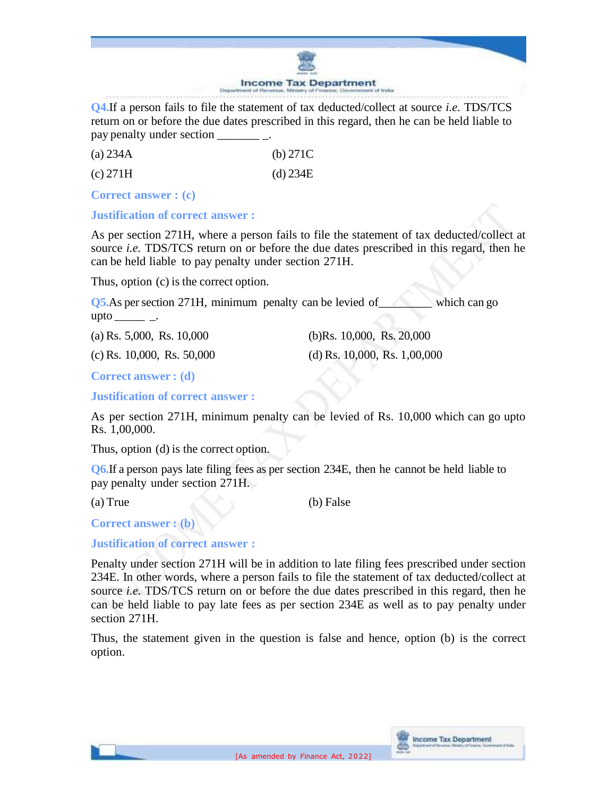#### **Income Tax Department**

**Q4.**If a person fails to file the statement of tax deducted/collect at source *i.e.* TDS/TCS return on or before the due dates prescribed in this regard, then he can be held liable to pay penalty under section \_\_\_\_\_\_\_ \_.

| (a) $234A$ | (b) $271C$ |
|------------|------------|
| (c) 271H   | (d) 234E   |

**Correct answer : (c)**

**Justification of correct answer :**

As per section 271H, where a person fails to file the statement of tax deducted/collect at source *i.e.* TDS/TCS return on or before the due dates prescribed in this regard, then he can be held liable to pay penalty under section 271H.

Thus, option (c) is the correct option.

**Q5.**As per section 271H, minimum penalty can be levied of which can go upto  $\_\_\_\_\_\_\_\_\$ .

(a) Rs. 5,000, Rs. 10,000 (b)Rs. 10,000, Rs. 20,000

(c) Rs.  $10,000$ , Rs.  $50,000$  (d) Rs.  $10,000$ , Rs.  $1,00,000$ 

**Correct answer : (d)**

**Justification of correct answer :**

As per section 271H, minimum penalty can be levied of Rs. 10,000 which can go upto Rs. 1,00,000.

Thus, option (d) is the correct option.

**Q6.**If a person pays late filing fees as per section 234E, then he cannot be held liable to pay penalty under section 271H.

(a) True (b) False

**Correct answer : (b)**

**Justification of correct answer :**

Penalty under section 271H will be in addition to late filing fees prescribed under section 234E. In other words, where a person fails to file the statement of tax deducted/collect at source *i.e.* TDS/TCS return on or before the due dates prescribed in this regard, then he can be held liable to pay late fees as per section 234E as well as to pay penalty under section 271H.

Thus, the statement given in the question is false and hence, option (b) is the correct option.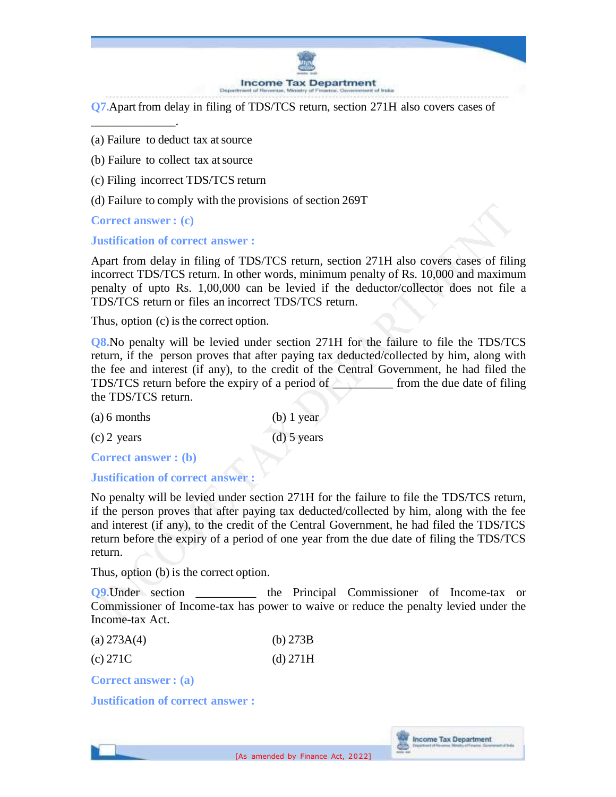

**Q7.**Apart from delay in filing of TDS/TCS return, section 271H also covers cases of

- (a) Failure to deduct tax at source
- (b) Failure to collect tax at source
- (c) Filing incorrect TDS/TCS return
- (d) Failure to comply with the provisions of section 269T

**Correct answer : (c)**

\_\_\_\_\_\_\_\_\_\_\_\_\_\_.

**Justification of correct answer :**

Apart from delay in filing of TDS/TCS return, section 271H also covers cases of filing incorrect TDS/TCS return. In other words, minimum penalty of Rs. 10,000 and maximum penalty of upto Rs. 1,00,000 can be levied if the deductor/collector does not file a TDS/TCS return or files an incorrect TDS/TCS return.

Thus, option (c) is the correct option.

**Q8.**No penalty will be levied under section 271H for the failure to file the TDS/TCS return, if the person proves that after paying tax deducted/collected by him, along with the fee and interest (if any), to the credit of the Central Government, he had filed the TDS/TCS return before the expiry of a period of from the due date of filing the TDS/TCS return.

| $(a) 6$ months | $(b)$ 1 year  |
|----------------|---------------|
| $(c)$ 2 years  | $(d)$ 5 years |

**Correct answer : (b)**

#### **Justification of correct answer :**

No penalty will be levied under section 271H for the failure to file the TDS/TCS return, if the person proves that after paying tax deducted/collected by him, along with the fee and interest (if any), to the credit of the Central Government, he had filed the TDS/TCS return before the expiry of a period of one year from the due date of filing the TDS/TCS return.

Thus, option (b) is the correct option.

**Q9.**Under section the Principal Commissioner of Income-tax or Commissioner of Income-tax has power to waive or reduce the penalty levied under the Income-tax Act.

| (a) $273A(4)$ | (b) $273B$ |
|---------------|------------|
|               |            |

| (c) 271C | (d) 271H |
|----------|----------|
|----------|----------|

**Correct answer : (a)**

**Justification of correct answer :**